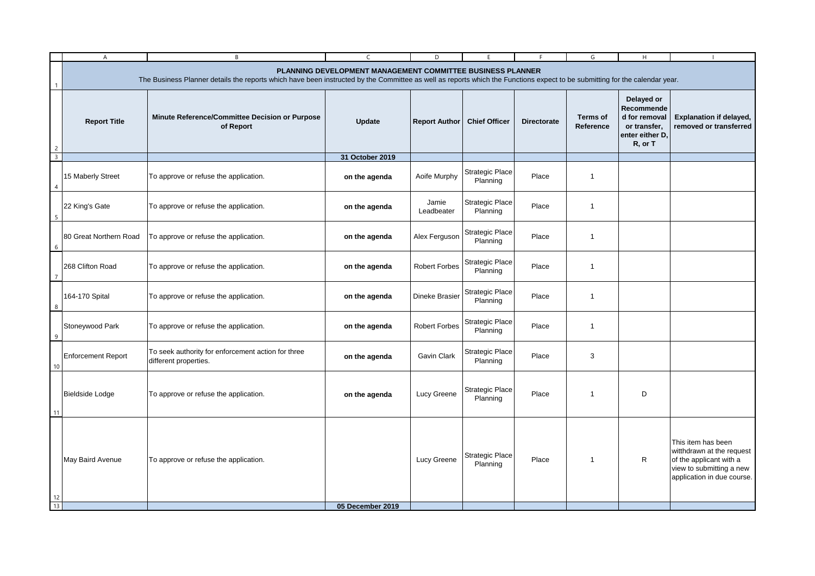| PLANNING DEVELOPMENT MANAGEMENT COMMITTEE BUSINESS PLANNER<br>The Business Planner details the reports which have been instructed by the Committee as well as reports which the Functions expect to be submitting for the calendar year.<br>Delayed or<br>Recommende<br><b>Terms of</b><br>d for removal<br>Minute Reference/Committee Decision or Purpose<br><b>Report Title</b><br><b>Update</b><br><b>Report Author</b><br><b>Chief Officer</b><br><b>Directorate</b><br>or transfer,<br>of Report<br>Reference<br>enter either D,<br>R, or T<br>$\overline{2}$<br>$\overline{\mathbf{3}}$<br>31 October 2019<br><b>Strategic Place</b><br>15 Maberly Street<br>Aoife Murphy<br>$\overline{1}$<br>To approve or refuse the application.<br>Place<br>on the agenda<br>Planning<br>$\overline{4}$<br><b>Strategic Place</b><br>Jamie<br>22 King's Gate<br>Place<br>To approve or refuse the application.<br>on the agenda<br>$\mathbf 1$<br>Leadbeater<br>Planning<br>5<br><b>Strategic Place</b><br>80 Great Northern Road<br>To approve or refuse the application.<br>Alex Ferguson<br>Place<br>$\mathbf{1}$<br>on the agenda<br>Planning<br>6<br><b>Strategic Place</b><br>268 Clifton Road<br>on the agenda<br><b>Robert Forbes</b><br>Place<br>$\overline{1}$<br>To approve or refuse the application.<br>Planning<br>Strategic Place<br>164-170 Spital<br>To approve or refuse the application.<br>Dineke Brasier<br>Place<br>$\overline{1}$<br>on the agenda<br>Planning<br>8<br><b>Strategic Place</b><br>Stoneywood Park<br><b>Robert Forbes</b><br>To approve or refuse the application.<br>on the agenda<br>Place<br>$\mathbf{1}$<br>Planning<br>9<br>To seek authority for enforcement action for three<br>Strategic Place<br><b>Enforcement Report</b><br>Gavin Clark<br>3<br>on the agenda<br>Place<br>different properties.<br>Planning<br>10<br><b>Strategic Place</b><br>Bieldside Lodge<br>Lucy Greene<br>D<br>To approve or refuse the application.<br>Place<br>$\mathbf{1}$<br>on the agenda<br>Planning | $\mathsf{A}$ | B | $\mathsf{C}$ | D | F | F. | G | H. |                                                                                                                                      |  |  |
|-------------------------------------------------------------------------------------------------------------------------------------------------------------------------------------------------------------------------------------------------------------------------------------------------------------------------------------------------------------------------------------------------------------------------------------------------------------------------------------------------------------------------------------------------------------------------------------------------------------------------------------------------------------------------------------------------------------------------------------------------------------------------------------------------------------------------------------------------------------------------------------------------------------------------------------------------------------------------------------------------------------------------------------------------------------------------------------------------------------------------------------------------------------------------------------------------------------------------------------------------------------------------------------------------------------------------------------------------------------------------------------------------------------------------------------------------------------------------------------------------------------------------------------------------------------------------------------------------------------------------------------------------------------------------------------------------------------------------------------------------------------------------------------------------------------------------------------------------------------------------------------------------------------------------------------------------------------------------------------------------------------------------------|--------------|---|--------------|---|---|----|---|----|--------------------------------------------------------------------------------------------------------------------------------------|--|--|
|                                                                                                                                                                                                                                                                                                                                                                                                                                                                                                                                                                                                                                                                                                                                                                                                                                                                                                                                                                                                                                                                                                                                                                                                                                                                                                                                                                                                                                                                                                                                                                                                                                                                                                                                                                                                                                                                                                                                                                                                                               |              |   |              |   |   |    |   |    |                                                                                                                                      |  |  |
|                                                                                                                                                                                                                                                                                                                                                                                                                                                                                                                                                                                                                                                                                                                                                                                                                                                                                                                                                                                                                                                                                                                                                                                                                                                                                                                                                                                                                                                                                                                                                                                                                                                                                                                                                                                                                                                                                                                                                                                                                               |              |   |              |   |   |    |   |    | Explanation if delayed,<br>removed or transferred                                                                                    |  |  |
|                                                                                                                                                                                                                                                                                                                                                                                                                                                                                                                                                                                                                                                                                                                                                                                                                                                                                                                                                                                                                                                                                                                                                                                                                                                                                                                                                                                                                                                                                                                                                                                                                                                                                                                                                                                                                                                                                                                                                                                                                               |              |   |              |   |   |    |   |    |                                                                                                                                      |  |  |
|                                                                                                                                                                                                                                                                                                                                                                                                                                                                                                                                                                                                                                                                                                                                                                                                                                                                                                                                                                                                                                                                                                                                                                                                                                                                                                                                                                                                                                                                                                                                                                                                                                                                                                                                                                                                                                                                                                                                                                                                                               |              |   |              |   |   |    |   |    |                                                                                                                                      |  |  |
|                                                                                                                                                                                                                                                                                                                                                                                                                                                                                                                                                                                                                                                                                                                                                                                                                                                                                                                                                                                                                                                                                                                                                                                                                                                                                                                                                                                                                                                                                                                                                                                                                                                                                                                                                                                                                                                                                                                                                                                                                               |              |   |              |   |   |    |   |    |                                                                                                                                      |  |  |
|                                                                                                                                                                                                                                                                                                                                                                                                                                                                                                                                                                                                                                                                                                                                                                                                                                                                                                                                                                                                                                                                                                                                                                                                                                                                                                                                                                                                                                                                                                                                                                                                                                                                                                                                                                                                                                                                                                                                                                                                                               |              |   |              |   |   |    |   |    |                                                                                                                                      |  |  |
|                                                                                                                                                                                                                                                                                                                                                                                                                                                                                                                                                                                                                                                                                                                                                                                                                                                                                                                                                                                                                                                                                                                                                                                                                                                                                                                                                                                                                                                                                                                                                                                                                                                                                                                                                                                                                                                                                                                                                                                                                               |              |   |              |   |   |    |   |    |                                                                                                                                      |  |  |
|                                                                                                                                                                                                                                                                                                                                                                                                                                                                                                                                                                                                                                                                                                                                                                                                                                                                                                                                                                                                                                                                                                                                                                                                                                                                                                                                                                                                                                                                                                                                                                                                                                                                                                                                                                                                                                                                                                                                                                                                                               |              |   |              |   |   |    |   |    |                                                                                                                                      |  |  |
|                                                                                                                                                                                                                                                                                                                                                                                                                                                                                                                                                                                                                                                                                                                                                                                                                                                                                                                                                                                                                                                                                                                                                                                                                                                                                                                                                                                                                                                                                                                                                                                                                                                                                                                                                                                                                                                                                                                                                                                                                               |              |   |              |   |   |    |   |    |                                                                                                                                      |  |  |
|                                                                                                                                                                                                                                                                                                                                                                                                                                                                                                                                                                                                                                                                                                                                                                                                                                                                                                                                                                                                                                                                                                                                                                                                                                                                                                                                                                                                                                                                                                                                                                                                                                                                                                                                                                                                                                                                                                                                                                                                                               |              |   |              |   |   |    |   |    |                                                                                                                                      |  |  |
| 11                                                                                                                                                                                                                                                                                                                                                                                                                                                                                                                                                                                                                                                                                                                                                                                                                                                                                                                                                                                                                                                                                                                                                                                                                                                                                                                                                                                                                                                                                                                                                                                                                                                                                                                                                                                                                                                                                                                                                                                                                            |              |   |              |   |   |    |   |    |                                                                                                                                      |  |  |
| <b>Strategic Place</b><br>$\mathsf{R}$<br>May Baird Avenue<br>Lucy Greene<br>Place<br>To approve or refuse the application.<br>$\mathbf{1}$<br>Planning<br>12<br>13<br>05 December 2019                                                                                                                                                                                                                                                                                                                                                                                                                                                                                                                                                                                                                                                                                                                                                                                                                                                                                                                                                                                                                                                                                                                                                                                                                                                                                                                                                                                                                                                                                                                                                                                                                                                                                                                                                                                                                                       |              |   |              |   |   |    |   |    | This item has been<br>witthdrawn at the request<br>of the applicant with a<br>view to submitting a new<br>application in due course. |  |  |